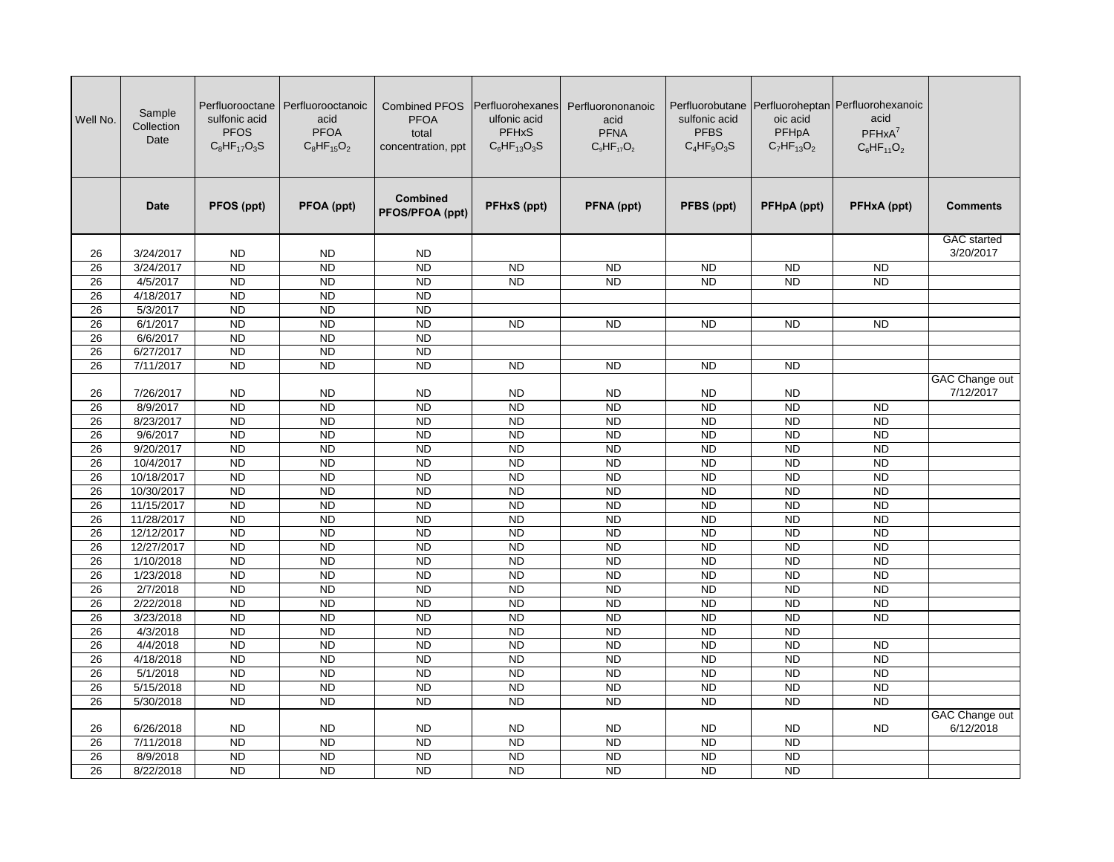| Well No. | Sample<br>Collection<br>Date | sulfonic acid<br><b>PFOS</b><br>$C_8HF_{17}O_3S$ | Perfluorooctane   Perfluorooctanoic<br>acid<br><b>PFOA</b><br>$C_8HF_{15}O_2$ | <b>Combined PFOS</b><br><b>PFOA</b><br>total<br>concentration, ppt | Perfluorohexanes<br>ulfonic acid<br><b>PFHxS</b><br>$C_6HF_{13}O_3S$ | Perfluorononanoic<br>acid<br><b>PFNA</b><br>$C_9HF_{17}O_2$ | sulfonic acid<br><b>PFBS</b><br>$C_4HF_9O_3S$ | oic acid<br>PFHpA<br>$C_7HF_{13}O_2$ | Perfluorobutane Perfluoroheptan Perfluorohexanoic<br>acid<br>$PFHxA^7$<br>$C_6HF_{11}O_2$ |                             |
|----------|------------------------------|--------------------------------------------------|-------------------------------------------------------------------------------|--------------------------------------------------------------------|----------------------------------------------------------------------|-------------------------------------------------------------|-----------------------------------------------|--------------------------------------|-------------------------------------------------------------------------------------------|-----------------------------|
|          | <b>Date</b>                  | PFOS (ppt)                                       | PFOA (ppt)                                                                    | <b>Combined</b><br>PFOS/PFOA (ppt)                                 | PFHxS (ppt)                                                          | PFNA (ppt)                                                  | PFBS (ppt)                                    | PFHpA (ppt)                          | PFHxA (ppt)                                                                               | <b>Comments</b>             |
|          |                              |                                                  |                                                                               |                                                                    |                                                                      |                                                             |                                               |                                      |                                                                                           | <b>GAC</b> started          |
| 26       | 3/24/2017                    | <b>ND</b>                                        | <b>ND</b>                                                                     | <b>ND</b>                                                          |                                                                      |                                                             |                                               |                                      |                                                                                           | 3/20/2017                   |
| 26       | 3/24/2017                    | <b>ND</b>                                        | $\overline{ND}$                                                               | $\overline{ND}$                                                    | <b>ND</b>                                                            | <b>ND</b>                                                   | <b>ND</b>                                     | <b>ND</b>                            | <b>ND</b>                                                                                 |                             |
| 26       | 4/5/2017                     | <b>ND</b>                                        | <b>ND</b>                                                                     | <b>ND</b>                                                          | <b>ND</b>                                                            | $\overline{ND}$                                             | $\overline{ND}$                               | <b>ND</b>                            | <b>ND</b>                                                                                 |                             |
| 26       | 4/18/2017                    | <b>ND</b>                                        | $\overline{ND}$                                                               | <b>ND</b>                                                          |                                                                      |                                                             |                                               |                                      |                                                                                           |                             |
| 26       | 5/3/2017                     | <b>ND</b>                                        | <b>ND</b>                                                                     | <b>ND</b>                                                          |                                                                      |                                                             |                                               |                                      |                                                                                           |                             |
| 26       | 6/1/2017                     | <b>ND</b>                                        | <b>ND</b>                                                                     | <b>ND</b>                                                          | <b>ND</b>                                                            | <b>ND</b>                                                   | <b>ND</b>                                     | <b>ND</b>                            | <b>ND</b>                                                                                 |                             |
| 26       | 6/6/2017                     | <b>ND</b>                                        | <b>ND</b>                                                                     | <b>ND</b>                                                          |                                                                      |                                                             |                                               |                                      |                                                                                           |                             |
| 26       | 6/27/2017                    | <b>ND</b>                                        | <b>ND</b>                                                                     | <b>ND</b>                                                          |                                                                      |                                                             |                                               |                                      |                                                                                           |                             |
| 26       | 7/11/2017                    | <b>ND</b>                                        | <b>ND</b>                                                                     | <b>ND</b>                                                          | <b>ND</b>                                                            | <b>ND</b>                                                   | <b>ND</b>                                     | <b>ND</b>                            |                                                                                           |                             |
| 26       | 7/26/2017                    | <b>ND</b>                                        | <b>ND</b>                                                                     | <b>ND</b>                                                          | <b>ND</b>                                                            | <b>ND</b>                                                   | <b>ND</b>                                     | <b>ND</b>                            |                                                                                           | GAC Change out<br>7/12/2017 |
| 26       | 8/9/2017                     | N <sub>D</sub>                                   | $\overline{ND}$                                                               | <b>ND</b>                                                          | N <sub>D</sub>                                                       | $\overline{ND}$                                             | $\overline{ND}$                               | N <sub>D</sub>                       | <b>ND</b>                                                                                 |                             |
| 26       | 8/23/2017                    | <b>ND</b>                                        | <b>ND</b>                                                                     | <b>ND</b>                                                          | <b>ND</b>                                                            | <b>ND</b>                                                   | <b>ND</b>                                     | <b>ND</b>                            | $\overline{ND}$                                                                           |                             |
| 26       | 9/6/2017                     | <b>ND</b>                                        | <b>ND</b>                                                                     | <b>ND</b>                                                          | <b>ND</b>                                                            | <b>ND</b>                                                   | <b>ND</b>                                     | <b>ND</b>                            | $\overline{ND}$                                                                           |                             |
| 26       | 9/20/2017                    | $\overline{ND}$                                  | <b>ND</b>                                                                     | <b>ND</b>                                                          | $\overline{ND}$                                                      | <b>ND</b>                                                   | <b>ND</b>                                     | <b>ND</b>                            | $\overline{ND}$                                                                           |                             |
| 26       | 10/4/2017                    | <b>ND</b>                                        | <b>ND</b>                                                                     | <b>ND</b>                                                          | <b>ND</b>                                                            | <b>ND</b>                                                   | <b>ND</b>                                     | <b>ND</b>                            | <b>ND</b>                                                                                 |                             |
| 26       | 10/18/2017                   | <b>ND</b>                                        | <b>ND</b>                                                                     | <b>ND</b>                                                          | <b>ND</b>                                                            | <b>ND</b>                                                   | <b>ND</b>                                     | <b>ND</b>                            | <b>ND</b>                                                                                 |                             |
| 26       | 10/30/2017                   | <b>ND</b>                                        | $\overline{ND}$                                                               | <b>ND</b>                                                          | <b>ND</b>                                                            | <b>ND</b>                                                   | <b>ND</b>                                     | <b>ND</b>                            | <b>ND</b>                                                                                 |                             |
| 26       | 11/15/2017                   | <b>ND</b>                                        | <b>ND</b>                                                                     | <b>ND</b>                                                          | $\overline{ND}$                                                      | <b>ND</b>                                                   | <b>ND</b>                                     | <b>ND</b>                            | <b>ND</b>                                                                                 |                             |
| 26       | 11/28/2017                   | <b>ND</b>                                        | <b>ND</b>                                                                     | <b>ND</b>                                                          | <b>ND</b>                                                            | <b>ND</b>                                                   | <b>ND</b>                                     | <b>ND</b>                            | <b>ND</b>                                                                                 |                             |
| 26       | 12/12/2017                   | <b>ND</b>                                        | <b>ND</b>                                                                     | <b>ND</b>                                                          | <b>ND</b>                                                            | <b>ND</b>                                                   | <b>ND</b>                                     | $\overline{ND}$                      | <b>ND</b>                                                                                 |                             |
| 26       | 12/27/2017                   | <b>ND</b>                                        | <b>ND</b>                                                                     | <b>ND</b>                                                          | <b>ND</b>                                                            | <b>ND</b>                                                   | <b>ND</b>                                     | <b>ND</b>                            | <b>ND</b>                                                                                 |                             |
| 26       | 1/10/2018                    | <b>ND</b>                                        | <b>ND</b>                                                                     | <b>ND</b>                                                          | <b>ND</b>                                                            | <b>ND</b>                                                   | <b>ND</b>                                     | <b>ND</b>                            | <b>ND</b>                                                                                 |                             |
| 26       | 1/23/2018                    | <b>ND</b>                                        | <b>ND</b>                                                                     | <b>ND</b>                                                          | <b>ND</b>                                                            | <b>ND</b>                                                   | <b>ND</b>                                     | <b>ND</b>                            | <b>ND</b>                                                                                 |                             |
| 26       | 2/7/2018                     | <b>ND</b>                                        | <b>ND</b>                                                                     | <b>ND</b>                                                          | <b>ND</b>                                                            | <b>ND</b>                                                   | <b>ND</b>                                     | <b>ND</b>                            | <b>ND</b>                                                                                 |                             |
| 26       | 2/22/2018                    | <b>ND</b>                                        | <b>ND</b>                                                                     | <b>ND</b>                                                          | <b>ND</b>                                                            | <b>ND</b>                                                   | <b>ND</b>                                     | <b>ND</b>                            | <b>ND</b>                                                                                 |                             |
| 26       | 3/23/2018                    | <b>ND</b>                                        | <b>ND</b>                                                                     | <b>ND</b>                                                          | <b>ND</b>                                                            | <b>ND</b>                                                   | <b>ND</b>                                     | <b>ND</b>                            | <b>ND</b>                                                                                 |                             |
| 26       | 4/3/2018                     | <b>ND</b>                                        | <b>ND</b>                                                                     | <b>ND</b>                                                          | <b>ND</b>                                                            | <b>ND</b>                                                   | <b>ND</b>                                     | <b>ND</b>                            |                                                                                           |                             |
| 26       | 4/4/2018                     | <b>ND</b>                                        | <b>ND</b>                                                                     | <b>ND</b>                                                          | <b>ND</b>                                                            | <b>ND</b>                                                   | <b>ND</b>                                     | <b>ND</b>                            | <b>ND</b>                                                                                 |                             |
| 26       | 4/18/2018                    | <b>ND</b>                                        | <b>ND</b>                                                                     | <b>ND</b>                                                          | <b>ND</b>                                                            | <b>ND</b>                                                   | <b>ND</b>                                     | <b>ND</b>                            | <b>ND</b>                                                                                 |                             |
| 26       | 5/1/2018                     | <b>ND</b>                                        | <b>ND</b>                                                                     | <b>ND</b>                                                          | <b>ND</b>                                                            | <b>ND</b>                                                   | <b>ND</b>                                     | <b>ND</b>                            | <b>ND</b>                                                                                 |                             |
| 26       | 5/15/2018                    | <b>ND</b>                                        | $\overline{ND}$                                                               | $\overline{ND}$                                                    | N <sub>D</sub>                                                       | $\overline{ND}$                                             | $\overline{ND}$                               | N <sub>D</sub>                       | <b>ND</b>                                                                                 |                             |
| 26       | 5/30/2018                    | <b>ND</b>                                        | $\overline{ND}$                                                               | <b>ND</b>                                                          | N <sub>D</sub>                                                       | $\overline{ND}$                                             | $\overline{ND}$                               | N <sub>D</sub>                       | <b>ND</b>                                                                                 |                             |
|          |                              |                                                  |                                                                               |                                                                    |                                                                      |                                                             |                                               |                                      |                                                                                           | GAC Change out              |
| 26       | 6/26/2018                    | <b>ND</b>                                        | <b>ND</b>                                                                     | <b>ND</b>                                                          | <b>ND</b>                                                            | <b>ND</b>                                                   | <b>ND</b>                                     | <b>ND</b>                            | <b>ND</b>                                                                                 | 6/12/2018                   |
| 26       | 7/11/2018                    | <b>ND</b>                                        | <b>ND</b>                                                                     | <b>ND</b>                                                          | $\overline{ND}$                                                      | <b>ND</b>                                                   | <b>ND</b>                                     | <b>ND</b>                            |                                                                                           |                             |
| 26       | 8/9/2018                     | <b>ND</b>                                        | <b>ND</b>                                                                     | <b>ND</b>                                                          | <b>ND</b>                                                            | <b>ND</b>                                                   | <b>ND</b>                                     | <b>ND</b>                            |                                                                                           |                             |
| 26       | 8/22/2018                    | <b>ND</b>                                        | <b>ND</b>                                                                     | <b>ND</b>                                                          | $\overline{ND}$                                                      | $\overline{ND}$                                             | <b>ND</b>                                     | <b>ND</b>                            |                                                                                           |                             |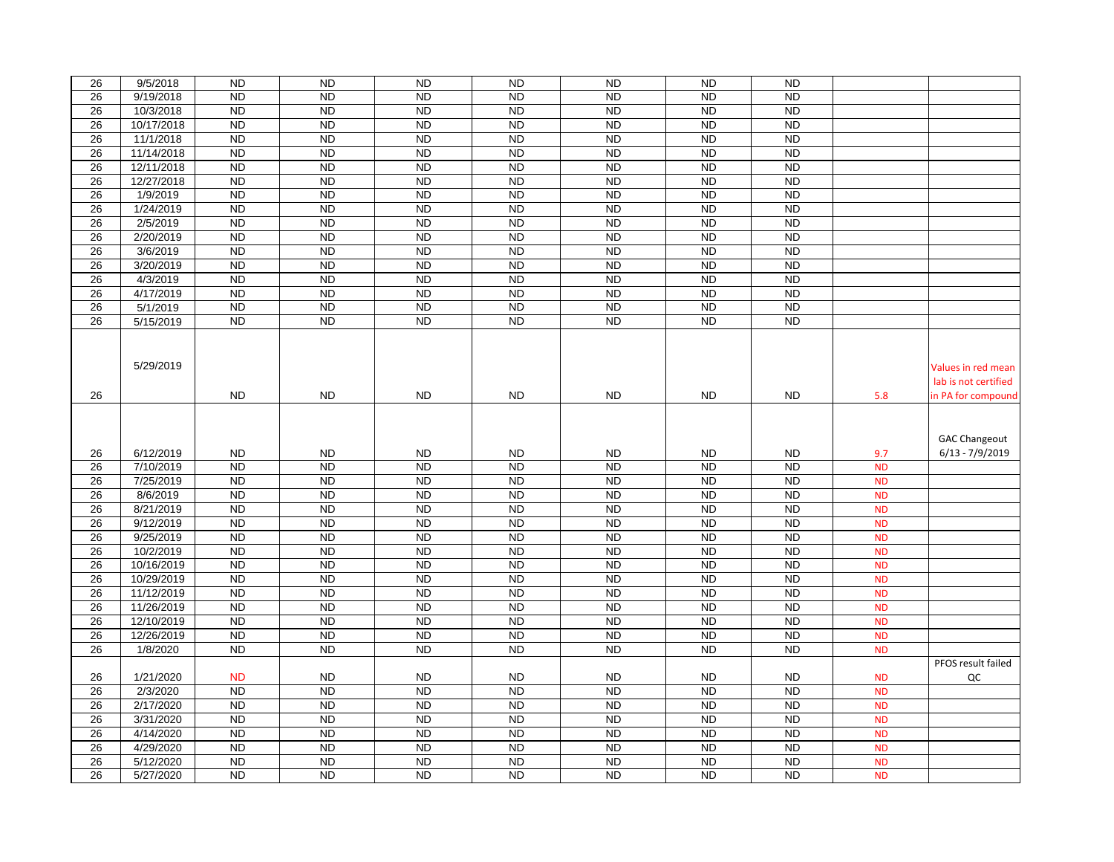| 26<br>26 |                          |                        |                             |                              |                             |                              |                              |                             |                        |                                            |
|----------|--------------------------|------------------------|-----------------------------|------------------------------|-----------------------------|------------------------------|------------------------------|-----------------------------|------------------------|--------------------------------------------|
|          | 9/5/2018                 | <b>ND</b>              | <b>ND</b>                   | <b>ND</b>                    | <b>ND</b>                   | <b>ND</b>                    | <b>ND</b>                    | <b>ND</b>                   |                        |                                            |
|          | 9/19/2018                | <b>ND</b>              | <b>ND</b>                   | <b>ND</b>                    | <b>ND</b>                   | <b>ND</b>                    | <b>ND</b>                    | <b>ND</b>                   |                        |                                            |
| 26       | 10/3/2018                | <b>ND</b>              | <b>ND</b>                   | <b>ND</b>                    | <b>ND</b>                   | <b>ND</b>                    | <b>ND</b>                    | <b>ND</b>                   |                        |                                            |
| 26       | 10/17/2018               | <b>ND</b>              | <b>ND</b>                   | <b>ND</b>                    | <b>ND</b>                   | <b>ND</b>                    | <b>ND</b>                    | <b>ND</b>                   |                        |                                            |
| 26       | 11/1/2018                | <b>ND</b>              | <b>ND</b>                   | <b>ND</b>                    | <b>ND</b>                   | N <sub>D</sub>               | <b>ND</b>                    | N <sub>D</sub>              |                        |                                            |
| 26       | 11/14/2018               | <b>ND</b>              | <b>ND</b>                   | <b>ND</b>                    | <b>ND</b>                   | <b>ND</b>                    | <b>ND</b>                    | <b>ND</b>                   |                        |                                            |
| 26       | 12/11/2018               | <b>ND</b>              | <b>ND</b>                   | <b>ND</b>                    | <b>ND</b>                   | <b>ND</b>                    | <b>ND</b>                    | <b>ND</b>                   |                        |                                            |
| 26       | 12/27/2018               | <b>ND</b>              | <b>ND</b>                   | <b>ND</b>                    | <b>ND</b>                   | <b>ND</b>                    | <b>ND</b>                    | <b>ND</b>                   |                        |                                            |
| 26       | 1/9/2019                 | <b>ND</b>              | <b>ND</b>                   | <b>ND</b>                    | <b>ND</b>                   | <b>ND</b>                    | <b>ND</b>                    | <b>ND</b>                   |                        |                                            |
| 26       | 1/24/2019                | <b>ND</b>              | <b>ND</b>                   | <b>ND</b>                    | <b>ND</b>                   | <b>ND</b>                    | <b>ND</b>                    | <b>ND</b>                   |                        |                                            |
| 26       | 2/5/2019                 | <b>ND</b>              | <b>ND</b>                   | <b>ND</b>                    | <b>ND</b>                   | <b>ND</b>                    | <b>ND</b>                    | <b>ND</b>                   |                        |                                            |
| 26       | 2/20/2019                | <b>ND</b>              | <b>ND</b>                   | <b>ND</b>                    | <b>ND</b>                   | <b>ND</b>                    | <b>ND</b>                    | <b>ND</b>                   |                        |                                            |
| 26       | 3/6/2019                 | <b>ND</b>              | <b>ND</b>                   | <b>ND</b>                    | <b>ND</b>                   | <b>ND</b>                    | <b>ND</b>                    | <b>ND</b>                   |                        |                                            |
| 26       | 3/20/2019                | <b>ND</b>              | <b>ND</b>                   | <b>ND</b>                    | <b>ND</b>                   | <b>ND</b>                    | <b>ND</b>                    | <b>ND</b>                   |                        |                                            |
| 26       | 4/3/2019                 | <b>ND</b>              | <b>ND</b>                   | <b>ND</b>                    | <b>ND</b>                   | <b>ND</b>                    | <b>ND</b>                    | <b>ND</b>                   |                        |                                            |
| 26       | 4/17/2019                | <b>ND</b>              | <b>ND</b>                   | <b>ND</b>                    | <b>ND</b>                   | <b>ND</b>                    | <b>ND</b>                    | <b>ND</b>                   |                        |                                            |
| 26       | 5/1/2019                 | <b>ND</b>              | <b>ND</b>                   | <b>ND</b>                    | <b>ND</b>                   | <b>ND</b>                    | <b>ND</b>                    | <b>ND</b>                   |                        |                                            |
| 26       | 5/15/2019                | <b>ND</b>              | <b>ND</b>                   | <b>ND</b>                    | <b>ND</b>                   | <b>ND</b>                    | <b>ND</b>                    | <b>ND</b>                   |                        |                                            |
| 26       | 5/29/2019                | ND                     | <b>ND</b>                   | <b>ND</b>                    | <b>ND</b>                   | ND.                          | <b>ND</b>                    | <b>ND</b>                   |                        | Values in red mean<br>lab is not certified |
|          |                          |                        |                             |                              |                             |                              |                              |                             | 5.8                    | in PA for compound                         |
|          |                          |                        |                             |                              |                             |                              |                              |                             |                        |                                            |
|          |                          |                        |                             |                              |                             |                              |                              |                             |                        | <b>GAC Changeout</b>                       |
| 26       | 6/12/2019                | <b>ND</b>              | <b>ND</b>                   | <b>ND</b>                    | <b>ND</b>                   | <b>ND</b>                    | <b>ND</b>                    | <b>ND</b>                   | 9.7                    | $6/13 - 7/9/2019$                          |
| 26       | 7/10/2019                | <b>ND</b>              | <b>ND</b>                   | <b>ND</b>                    | <b>ND</b>                   | <b>ND</b>                    | $\overline{ND}$              | <b>ND</b>                   | <b>ND</b>              |                                            |
| 26       | 7/25/2019                | <b>ND</b>              | $\overline{ND}$             | <b>ND</b>                    | <b>ND</b>                   | $\overline{ND}$              | $\overline{ND}$              | $\overline{ND}$             | <b>ND</b>              |                                            |
| 26       | 8/6/2019                 | <b>ND</b>              | <b>ND</b>                   | <b>ND</b>                    | <b>ND</b>                   | <b>ND</b>                    | <b>ND</b>                    | <b>ND</b>                   | <b>ND</b>              |                                            |
| 26       | 8/21/2019                | <b>ND</b>              | <b>ND</b>                   | <b>ND</b>                    | <b>ND</b>                   | <b>ND</b>                    | <b>ND</b>                    | <b>ND</b>                   | <b>ND</b>              |                                            |
| 26       | 9/12/2019                | <b>ND</b>              | <b>ND</b>                   | <b>ND</b>                    | <b>ND</b>                   | <b>ND</b>                    | <b>ND</b>                    | <b>ND</b>                   | <b>ND</b>              |                                            |
| 26       | 9/25/2019                | <b>ND</b>              | <b>ND</b>                   | <b>ND</b>                    | <b>ND</b>                   | <b>ND</b>                    | <b>ND</b>                    | <b>ND</b>                   | <b>ND</b>              |                                            |
| 26       | 10/2/2019                | <b>ND</b>              | <b>ND</b>                   | <b>ND</b>                    | <b>ND</b>                   | <b>ND</b>                    | <b>ND</b>                    | <b>ND</b>                   | <b>ND</b>              |                                            |
| 26       | 10/16/2019               | $\overline{ND}$        | <b>ND</b>                   | <b>ND</b>                    | <b>ND</b>                   | <b>ND</b>                    | <b>ND</b>                    | <b>ND</b>                   | <b>ND</b>              |                                            |
| 26       | 10/29/2019               | <b>ND</b>              | <b>ND</b>                   | <b>ND</b>                    | <b>ND</b>                   | <b>ND</b>                    | <b>ND</b>                    | <b>ND</b>                   | <b>ND</b>              |                                            |
| 26       | 11/12/2019               | <b>ND</b>              | <b>ND</b>                   | <b>ND</b>                    | <b>ND</b>                   | <b>ND</b>                    | <b>ND</b>                    | <b>ND</b>                   | <b>ND</b>              |                                            |
| 26       | 11/26/2019               | <b>ND</b>              | <b>ND</b>                   | <b>ND</b>                    | <b>ND</b>                   | <b>ND</b>                    | <b>ND</b>                    | <b>ND</b>                   | <b>ND</b>              |                                            |
| 26<br>26 | 12/10/2019<br>12/26/2019 | <b>ND</b><br><b>ND</b> | <b>ND</b><br><b>ND</b>      | <b>ND</b>                    | <b>ND</b><br><b>ND</b>      | <b>ND</b>                    | <b>ND</b><br><b>ND</b>       | <b>ND</b>                   | <b>ND</b><br><b>ND</b> |                                            |
| 26       |                          | <b>ND</b>              | <b>ND</b>                   | <b>ND</b><br><b>ND</b>       | <b>ND</b>                   | <b>ND</b><br><b>ND</b>       | <b>ND</b>                    | <b>ND</b><br><b>ND</b>      | <b>ND</b>              |                                            |
|          | 1/8/2020                 |                        |                             |                              |                             |                              |                              |                             |                        | PFOS result failed                         |
| 26       | 1/21/2020                | <b>ND</b>              | <b>ND</b>                   | ND                           | <b>ND</b>                   | ND                           | <b>ND</b>                    | <b>ND</b>                   | <b>ND</b>              | QC                                         |
| 26       | 2/3/2020                 | <b>ND</b>              | <b>ND</b>                   | <b>ND</b>                    | <b>ND</b>                   | <b>ND</b>                    | <b>ND</b>                    | <b>ND</b>                   | <b>ND</b>              |                                            |
| 26       | 2/17/2020                | <b>ND</b>              | <b>ND</b>                   | <b>ND</b>                    | <b>ND</b>                   | <b>ND</b>                    | <b>ND</b>                    | <b>ND</b>                   | <b>ND</b>              |                                            |
| 26       | 3/31/2020                | <b>ND</b>              | <b>ND</b>                   | <b>ND</b>                    | <b>ND</b>                   | <b>ND</b>                    | <b>ND</b>                    | <b>ND</b>                   | <b>ND</b>              |                                            |
| 26       | 4/14/2020                | <b>ND</b>              | <b>ND</b>                   | <b>ND</b>                    | <b>ND</b>                   | <b>ND</b>                    | <b>ND</b>                    | <b>ND</b>                   | <b>ND</b>              |                                            |
| 26       | 4/29/2020                | <b>ND</b>              | <b>ND</b>                   | <b>ND</b>                    | <b>ND</b>                   | <b>ND</b>                    | <b>ND</b>                    | <b>ND</b>                   | <b>ND</b>              |                                            |
| 26<br>26 | 5/12/2020<br>5/27/2020   | <b>ND</b><br><b>ND</b> | <b>ND</b><br>N <sub>D</sub> | <b>ND</b><br>$\overline{ND}$ | <b>ND</b><br>N <sub>D</sub> | <b>ND</b><br>$\overline{ND}$ | <b>ND</b><br>$\overline{ND}$ | <b>ND</b><br>N <sub>D</sub> | <b>ND</b><br><b>ND</b> |                                            |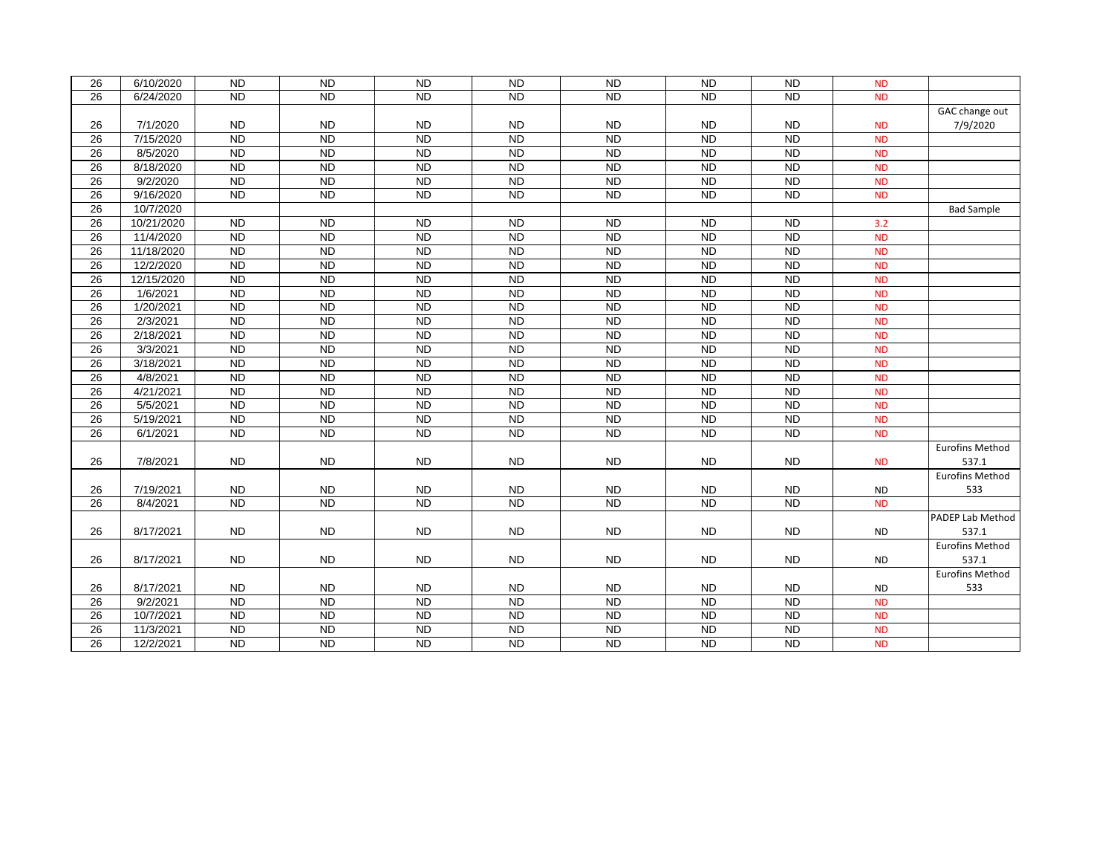| 26              | 6/10/2020  | <b>ND</b>       | <b>ND</b>       | <b>ND</b>       | <b>ND</b>       | <b>ND</b>      | <b>ND</b>       | <b>ND</b>       | <b>ND</b> |                        |
|-----------------|------------|-----------------|-----------------|-----------------|-----------------|----------------|-----------------|-----------------|-----------|------------------------|
| 26              | 6/24/2020  | $\overline{ND}$ | $\overline{ND}$ | <b>ND</b>       | $\overline{ND}$ | <b>ND</b>      | $\overline{ND}$ | $\overline{ND}$ | <b>ND</b> |                        |
|                 |            |                 |                 |                 |                 |                |                 |                 |           | GAC change out         |
| 26              | 7/1/2020   | <b>ND</b>       | <b>ND</b>       | <b>ND</b>       | <b>ND</b>       | <b>ND</b>      | <b>ND</b>       | <b>ND</b>       | <b>ND</b> | 7/9/2020               |
| 26              | 7/15/2020  | <b>ND</b>       | <b>ND</b>       | N <sub>D</sub>  | <b>ND</b>       | <b>ND</b>      | <b>ND</b>       | <b>ND</b>       | <b>ND</b> |                        |
| 26              | 8/5/2020   | <b>ND</b>       | <b>ND</b>       | N <sub>D</sub>  | <b>ND</b>       | N <sub>D</sub> | <b>ND</b>       | <b>ND</b>       | <b>ND</b> |                        |
| 26              | 8/18/2020  | $\overline{ND}$ | N <sub>D</sub>  | <b>ND</b>       | $\overline{ND}$ | <b>ND</b>      | <b>ND</b>       | <b>ND</b>       | <b>ND</b> |                        |
| $\overline{26}$ | 9/2/2020   | N <sub>D</sub>  | <b>ND</b>       | N <sub>D</sub>  | <b>ND</b>       | N <sub>D</sub> | <b>ND</b>       | <b>ND</b>       | <b>ND</b> |                        |
| 26              | 9/16/2020  | N <sub>D</sub>  | N <sub>D</sub>  | N <sub>D</sub>  | $\overline{ND}$ | N <sub>D</sub> | N <sub>D</sub>  | ND              | <b>ND</b> |                        |
| 26              | 10/7/2020  |                 |                 |                 |                 |                |                 |                 |           | <b>Bad Sample</b>      |
| $\overline{26}$ | 10/21/2020 | <b>ND</b>       | N <sub>D</sub>  | N <sub>D</sub>  | <b>ND</b>       | N <sub>D</sub> | N <sub>D</sub>  | $\overline{SD}$ | 3.2       |                        |
| 26              | 11/4/2020  | <b>ND</b>       | <b>ND</b>       | N <sub>D</sub>  | <b>ND</b>       | <b>ND</b>      | <b>ND</b>       | <b>ND</b>       | <b>ND</b> |                        |
| 26              | 11/18/2020 | $\overline{ND}$ | N <sub>D</sub>  | <b>ND</b>       | N <sub>D</sub>  | <b>ND</b>      | N <sub>D</sub>  | <b>ND</b>       | <b>ND</b> |                        |
| 26              | 12/2/2020  | <b>ND</b>       | <b>ND</b>       | N <sub>D</sub>  | <b>ND</b>       | N <sub>D</sub> | <b>ND</b>       | <b>ND</b>       | <b>ND</b> |                        |
| 26              | 12/15/2020 | $\overline{ND}$ | N <sub>D</sub>  | N <sub>D</sub>  | N <sub>D</sub>  | N <sub>D</sub> | N <sub>D</sub>  | N <sub>D</sub>  | <b>ND</b> |                        |
| 26              | 1/6/2021   | <b>ND</b>       | <b>ND</b>       | <b>ND</b>       | <b>ND</b>       | <b>ND</b>      | <b>ND</b>       | <b>ND</b>       | <b>ND</b> |                        |
| 26              | 1/20/2021  | <b>ND</b>       | <b>ND</b>       | N <sub>D</sub>  | <b>ND</b>       | N <sub>D</sub> | <b>ND</b>       | <b>ND</b>       | <b>ND</b> |                        |
| 26              | 2/3/2021   | N <sub>D</sub>  | N <sub>D</sub>  | <b>ND</b>       | N <sub>D</sub>  | <b>ND</b>      | N <sub>D</sub>  | <b>ND</b>       | <b>ND</b> |                        |
| $\overline{26}$ | 2/18/2021  | <b>ND</b>       | <b>ND</b>       | N <sub>D</sub>  | <b>ND</b>       | N <sub>D</sub> | <b>ND</b>       | <b>ND</b>       | <b>ND</b> |                        |
| 26              | 3/3/2021   | N <sub>D</sub>  | N <sub>D</sub>  | N <sub>D</sub>  | $\overline{ND}$ | N <sub>D</sub> | N <sub>D</sub>  | N <sub>D</sub>  | <b>ND</b> |                        |
| 26              | 3/18/2021  | <b>ND</b>       | <b>ND</b>       | <b>ND</b>       | <b>ND</b>       | <b>ND</b>      | <b>ND</b>       | <b>ND</b>       | <b>ND</b> |                        |
| 26              | 4/8/2021   | $\overline{ND}$ | N <sub>D</sub>  | N <sub>D</sub>  | <b>ND</b>       | N <sub>D</sub> | N <sub>D</sub>  | <b>ND</b>       | <b>ND</b> |                        |
| 26              | 4/21/2021  | <b>ND</b>       | N <sub>D</sub>  | <b>ND</b>       | <b>ND</b>       | <b>ND</b>      | N <sub>D</sub>  | <b>ND</b>       | <b>ND</b> |                        |
| $\overline{26}$ | 5/5/2021   | $\overline{ND}$ | N <sub>D</sub>  | N <sub>D</sub>  | $\overline{ND}$ | N <sub>D</sub> | N <sub>D</sub>  | <b>ND</b>       | <b>ND</b> |                        |
| 26              | 5/19/2021  | <b>ND</b>       | $\overline{ND}$ | N <sub>D</sub>  | <b>ND</b>       | N <sub>D</sub> | <b>ND</b>       | <b>ND</b>       | <b>ND</b> |                        |
| 26              | 6/1/2021   | $\overline{ND}$ | N <sub>D</sub>  | $\overline{ND}$ | $\overline{ND}$ | N <sub>D</sub> | N <sub>D</sub>  | $\overline{SD}$ | <b>ND</b> |                        |
|                 |            |                 |                 |                 |                 |                |                 |                 |           | <b>Eurofins Method</b> |
| 26              | 7/8/2021   | <b>ND</b>       | <b>ND</b>       | <b>ND</b>       | <b>ND</b>       | <b>ND</b>      | <b>ND</b>       | <b>ND</b>       | <b>ND</b> | 537.1                  |
|                 |            |                 |                 |                 |                 |                |                 |                 |           | <b>Eurofins Method</b> |
| 26              | 7/19/2021  | <b>ND</b>       | <b>ND</b>       | <b>ND</b>       | <b>ND</b>       | <b>ND</b>      | <b>ND</b>       | <b>ND</b>       | <b>ND</b> | 533                    |
| 26              | 8/4/2021   | $\overline{ND}$ | <b>ND</b>       | <b>ND</b>       | $\overline{ND}$ | <b>ND</b>      | $\overline{ND}$ | $\overline{ND}$ | <b>ND</b> |                        |
|                 |            |                 |                 |                 |                 |                |                 |                 |           | PADEP Lab Method       |
| 26              | 8/17/2021  | <b>ND</b>       | <b>ND</b>       | <b>ND</b>       | <b>ND</b>       | <b>ND</b>      | <b>ND</b>       | <b>ND</b>       | <b>ND</b> | 537.1                  |
|                 |            |                 |                 |                 |                 |                |                 |                 |           | <b>Eurofins Method</b> |
| 26              | 8/17/2021  | <b>ND</b>       | <b>ND</b>       | <b>ND</b>       | <b>ND</b>       | <b>ND</b>      | <b>ND</b>       | <b>ND</b>       | <b>ND</b> | 537.1                  |
|                 |            |                 |                 |                 |                 |                |                 |                 |           | <b>Eurofins Method</b> |
| 26              | 8/17/2021  | <b>ND</b>       | <b>ND</b>       | <b>ND</b>       | <b>ND</b>       | <b>ND</b>      | <b>ND</b>       | <b>ND</b>       | <b>ND</b> | 533                    |
| 26              | 9/2/2021   | N <sub>D</sub>  | N <sub>D</sub>  | <b>ND</b>       | $\overline{ND}$ | <b>ND</b>      | N <sub>D</sub>  | <b>ND</b>       | <b>ND</b> |                        |
| 26              | 10/7/2021  | <b>ND</b>       | <b>ND</b>       | N <sub>D</sub>  | <b>ND</b>       | <b>ND</b>      | <b>ND</b>       | <b>ND</b>       | <b>ND</b> |                        |
| 26              | 11/3/2021  | N <sub>D</sub>  | <b>ND</b>       | <b>ND</b>       | <b>ND</b>       | <b>ND</b>      | <b>ND</b>       | ND              | <b>ND</b> |                        |
| 26              | 12/2/2021  | $\overline{ND}$ | N <sub>D</sub>  | $\overline{ND}$ | <b>ND</b>       | N <sub>D</sub> | <b>ND</b>       | <b>ND</b>       | <b>ND</b> |                        |